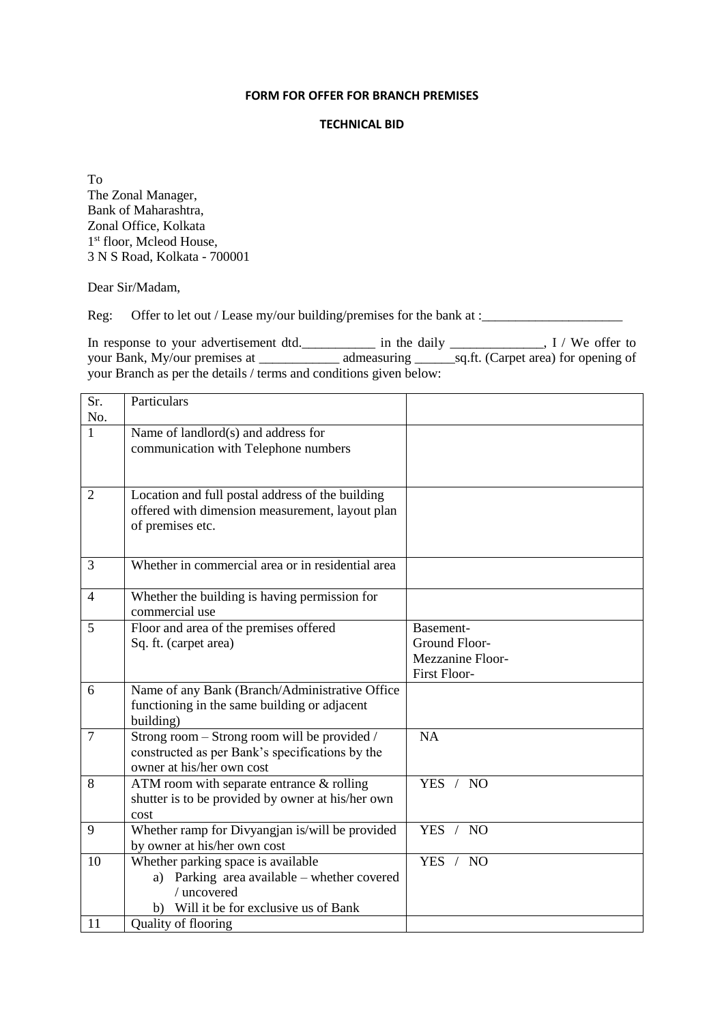## **FORM FOR OFFER FOR BRANCH PREMISES**

### **TECHNICAL BID**

To The Zonal Manager, Bank of Maharashtra, Zonal Office, Kolkata 1 st floor, Mcleod House, 3 N S Road, Kolkata - 700001

Dear Sir/Madam,

Reg: Offer to let out / Lease my/our building/premises for the bank at :\_\_\_\_\_\_\_\_\_\_\_\_\_\_\_\_\_\_\_\_\_

In response to your advertisement dtd.\_\_\_\_\_\_\_\_\_\_\_\_ in the daily \_\_\_\_\_\_\_\_\_\_\_\_, I / We offer to your Bank, My/our premises at \_\_\_\_\_\_\_\_\_\_\_\_\_\_\_\_ admeasuring \_\_\_\_\_\_\_\_\_\_\_\_\_\_\_\_\_\_\_\_\_\_ aq.ft. (Carpet area) for opening of your Branch as per the details / terms and conditions given below:

| Sr.<br>No.     | Particulars                                                                                                                                                             |                                                                |
|----------------|-------------------------------------------------------------------------------------------------------------------------------------------------------------------------|----------------------------------------------------------------|
| $\mathbf{1}$   | Name of landlord(s) and address for<br>communication with Telephone numbers                                                                                             |                                                                |
| $\overline{2}$ | Location and full postal address of the building<br>offered with dimension measurement, layout plan<br>of premises etc.                                                 |                                                                |
| 3              | Whether in commercial area or in residential area                                                                                                                       |                                                                |
| $\overline{4}$ | Whether the building is having permission for<br>commercial use                                                                                                         |                                                                |
| 5              | Floor and area of the premises offered<br>Sq. ft. (carpet area)                                                                                                         | Basement-<br>Ground Floor-<br>Mezzanine Floor-<br>First Floor- |
| 6              | Name of any Bank (Branch/Administrative Office<br>functioning in the same building or adjacent<br>building)                                                             |                                                                |
| $\overline{7}$ | Strong room – Strong room will be provided /<br>constructed as per Bank's specifications by the<br>owner at his/her own cost                                            | <b>NA</b>                                                      |
| 8              | ATM room with separate entrance $&$ rolling<br>shutter is to be provided by owner at his/her own<br>cost                                                                | YES / NO                                                       |
| 9              | Whether ramp for Divyangjan is/will be provided<br>by owner at his/her own cost                                                                                         | YES /<br>N <sub>O</sub>                                        |
| 10<br>11       | Whether parking space is available<br>Parking area available - whether covered<br>a)<br>/ uncovered<br>Will it be for exclusive us of Bank<br>b)<br>Quality of flooring | YES / NO                                                       |
|                |                                                                                                                                                                         |                                                                |